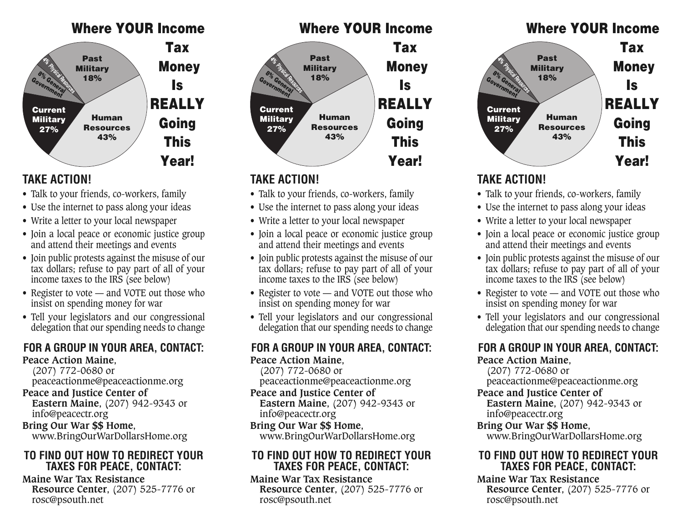#### Where YOUR Income



### **TAKE ACTION!**

- Talk to your friends, co-workers, family
- Use the internet to pass along your ideas
- Write a letter to your local newspaper
- Join a local peace or economic justice group and attend their meetings and events
- Join public protests against the misuse of our tax dollars; refuse to pay part of all of your income taxes to the IRS (see below)
- Register to vote and VOTE out those who insist on spending money for war
- Tell your legislators and our congressional delegation that our spending needs to change

# **FOR A GROUP IN YOUR AREA, CONTACT:**

**Peace Action Maine**, (207) 772-0680 or peaceactionme@peaceactionme.org

#### **Peace and Justice Center of**

**Eastern Maine**, (207) 942-9343 or info@peacectr.org

**Bring Our War \$\$ Home**, www.BringOurWarDollarsHome.org

#### **TO FIND OUT HOW TO REDIRECT YOUR TAXES FOR PEACE, CONTACT:**

**Maine War Tax Resistance Resource Center**, (207) 525-7776 or rosc@psouth.net



### **TAKE ACTION!**

- Talk to your friends, co-workers, family
- Use the internet to pass along your ideas
- Write a letter to your local newspaper
- Join a local peace or economic justice group and attend their meetings and events
- Join public protests against the misuse of our tax dollars; refuse to pay part of all of your income taxes to the IRS (see below)
- Register to vote and VOTE out those who insist on spending money for war
- Tell your legislators and our congressional delegation that our spending needs to change

### **FOR A GROUP IN YOUR AREA, CONTACT:**

**Peace Action Maine**, (207) 772-0680 or peaceactionme@peaceactionme.org

**Peace and Justice Center of Eastern Maine**, (207) 942-9343 or info@peacectr.org

#### **Bring Our War \$\$ Home**,

www.BringOurWarDollarsHome.org

#### **TO FIND OUT HOW TO REDIRECT YOUR TAXES FOR PEACE, CONTACT:**

**Maine War Tax Resistance Resource Center**, (207) 525-7776 or rosc@psouth.net





### **TAKE ACTION!**

- Talk to your friends, co-workers, family
- Use the internet to pass along your ideas
- Write a letter to your local newspaper
- Join a local peace or economic justice group and attend their meetings and events
- Join public protests against the misuse of our tax dollars; refuse to pay part of all of your income taxes to the IRS (see below)
- Register to vote and VOTE out those who insist on spending money for war
- Tell your legislators and our congressional delegation that our spending needs to change

### **FOR A GROUP IN YOUR AREA, CONTACT:**

**Peace Action Maine**,

(207) 772-0680 or

peaceactionme@peaceactionme.org

- **Peace and Justice Center of**
	- **Eastern Maine**, (207) 942-9343 or info@peacectr.org

#### **Bring Our War \$\$ Home**,

www.BringOurWarDollarsHome.org

#### **TO FIND OUT HOW TO REDIRECT YOUR TAXES FOR PEACE, CONTACT:**

**Maine War Tax Resistance Resource Center**, (207) 525-7776 or rosc@psouth.net